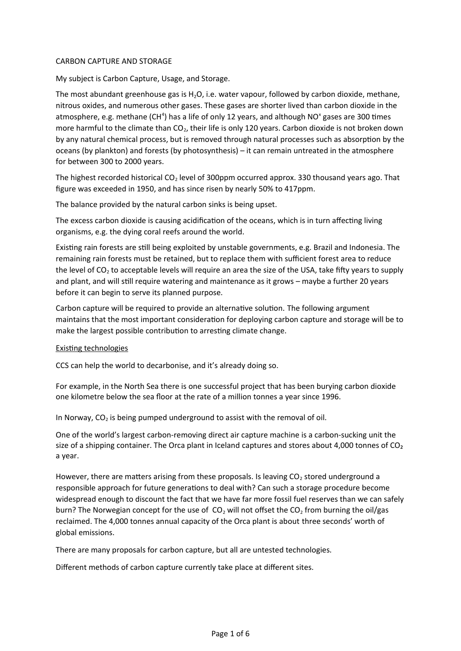#### CARBON CAPTURE AND STORAGE

My subject is Carbon Capture, Usage, and Storage.

The most abundant greenhouse gas is  $H_2O$ , i.e. water vapour, followed by carbon dioxide, methane, nitrous oxides, and numerous other gases. These gases are shorter lived than carbon dioxide in the atmosphere, e.g. methane (CH<sup>4</sup>) has a life of only 12 years, and although NO<sup>x</sup> gases are 300 times more harmful to the climate than  $CO<sub>2</sub>$ , their life is only 120 years. Carbon dioxide is not broken down by any natural chemical process, but is removed through natural processes such as absorption by the oceans (by plankton) and forests (by photosynthesis) – it can remain untreated in the atmosphere for between 300 to 2000 years.

The highest recorded historical  $CO<sub>2</sub>$  level of 300ppm occurred approx. 330 thousand years ago. That figure was exceeded in 1950, and has since risen by nearly 50% to 417ppm.

The balance provided by the natural carbon sinks is being upset.

The excess carbon dioxide is causing acidification of the oceans, which is in turn affecting living organisms, e.g. the dying coral reefs around the world.

Existing rain forests are still being exploited by unstable governments, e.g. Brazil and Indonesia. The remaining rain forests must be retained, but to replace them with sufficient forest area to reduce the level of  $CO<sub>2</sub>$  to acceptable levels will require an area the size of the USA, take fifty years to supply and plant, and will still require watering and maintenance as it grows – maybe a further 20 years before it can begin to serve its planned purpose.

Carbon capture will be required to provide an alternative solution. The following argument maintains that the most important consideration for deploying carbon capture and storage will be to make the largest possible contribution to arresting climate change.

### Existing technologies

CCS can help the world to decarbonise, and it's already doing so.

For example, in the North Sea there is one [successful project](https://www.equinor.com/en/what-we-do/carbon-capture-and-storage.html) that has been burying carbon dioxide one kilometre below the sea floor at the rate of a million tonnes a year since 1996.

In Norway,  $CO<sub>2</sub>$  is being pumped underground to assist with the removal of oil.

One of the world's largest carbon-removing direct air capture machine is a carbon-sucking unit the size of a shipping container. T[he Orca plant in Iceland](https://www.ft.com/content/8a942e30-0428-4567-8a6c-dc704ba3460a) captures and stores about 4,000 tonnes of  $CO<sub>2</sub>$ a year.

However, there are matters arising from these proposals. Is leaving  $CO<sub>2</sub>$  stored underground a responsible approach for future generations to deal with? Can such a storage procedure become widespread enough to discount the fact that we have far more fossil fuel reserves than we can safely burn? The Norwegian concept for the use of  $CO<sub>2</sub>$  will not offset the  $CO<sub>2</sub>$  from burning the oil/gas reclaimed. The 4,000 tonnes annual capacity of the Orca plant is about [three seconds' worth](https://www.businessinsider.com/carbon-capture-storage-expensive-climate-change-2021-9?r=US&IR=T) of global emissions.

There are many proposals for carbon capture, but all are untested technologies.

Different methods of carbon capture currently take place at different sites.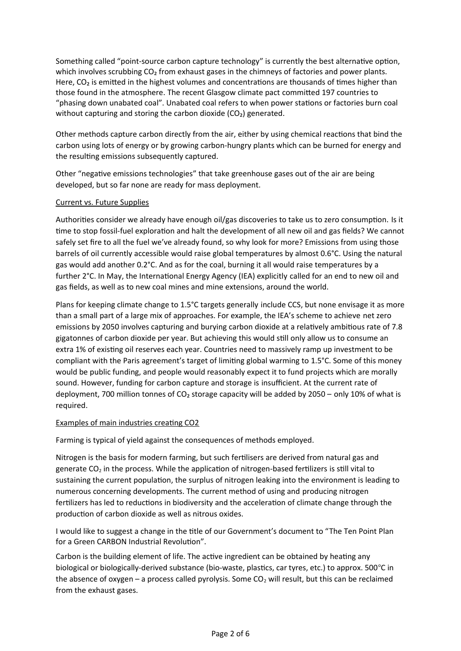Something called "[point-source carbon capture technology](https://theconversation.com/carbon-capture-on-power-stations-burning-woodchips-is-not-the-green-gamechanger-many-think-it-is-110475)" is currently the best alternative option, which involves scrubbing CO<sub>2</sub> from exhaust gases in the chimneys of factories and power plants. Here, CO<sub>2</sub> is emitted in the highest volumes and concentrations are thousands of times higher than those found in the atmosphere. The recent Glasgow climate pact [committed](https://www.nytimes.com/live/2021/11/13/climate/cop26-glasgow-climate-summit) 197 countries to "phasing down unabated coal". Unabated coal refers to when power stations or factories burn coal without capturing and storing the carbon dioxide (CO<sub>2</sub>) generated.

Other methods capture carbon directly from the air, either by using chemical reactions that bind the carbon using lots of energy or by growing carbon-hungry plants which can be burned for energy and the resulting emissions subsequently captured.

Other ["negative emissions technologies](https://policyexchange.org.uk/four-negative-emission-technologies-nets-that-could-get-us-to-net-zero/)" that take greenhouse gases out of the air are being developed, but so far none are ready for mass deployment.

# Current vs. Future Supplies

Authorities consider we already have enough oil/gas discoveries to take us to zero consumption. Is it time to stop fossil-fuel exploration and halt the development of all new oil and gas fields? We cannot safely set fire to all the fuel we've already found, so why look for more? Emissions from using those barrels of oil currently accessible would raise global temperatures by almost 0.6°C. Using the natural gas would add another 0.2°C. And as for the coal, burning it all would raise temperatures by a further 2°C. In May, the International Energy Agency (IEA) explicitly [called](https://www.theguardian.com/environment/2021/may/18/no-new-investment-in-fossil-fuels-demands-top-energy-economist) for an end to new oil and gas fields, as well as to new coal mines and mine extensions, around the world.

Plans for keeping climate change to 1.5°C targets generally [include CCS,](https://www.ipcc.ch/sr15/chapter/chapter-2/) but none envisage it as more than a small part of a large mix of approaches. For example, the IEA's scheme to achieve [net zero](https://theconversation.com/net-zero-despite-the-greenwash-its-vital-for-tackling-climate-change-160329)  [emissions](https://theconversation.com/net-zero-despite-the-greenwash-its-vital-for-tackling-climate-change-160329) by 2050 involves capturing and burying carbon dioxide at a relatively ambitious rate of 7.8 gigatonnes of carbon dioxide per year. But achieving this would still only allow us to consume an extra 1% of existing oil reserves each year. Countries need to massively ramp up investment to be compliant with the Paris agreement's target of limiting global warming to 1.5°C. Some of this money would be public funding, and people would reasonably expect it to fund projects which are morally sound. However, funding for carbon capture and storage is [insufficient](https://doi.org/10.1007/s11948-021-00344-3). At the current rate of deployment, 700 million tonnes of CO<sub>2</sub> storage capacity will be added by 2050 – only 10% of what is [required.](https://doi.org/10.1016/j.oneear.2021.10.002)

### Examples of main industries creating CO2

Farming is typical of yield against the consequences of methods employed.

Nitrogen is the basis for modern farming, but such fertilisers are derived from natural gas and generate  $CO<sub>2</sub>$  in the process. While the application of nitrogen-based fertilizers is still vital to sustaining the current population, the surplus of nitrogen leaking into the environment is leading to numerous concerning developments. The current method of using and producing nitrogen fertilizers has led to reductions in biodiversity and the acceleration of climate change through the production of carbon dioxide as well as nitrous oxides.

I would like to suggest a change in the title of our Government's document to "The Ten Point Plan for a Green CARBON Industrial Revolution".

Carbon is the building element of life. The active ingredient can be obtained by heating any biological or biologically-derived substance (bio-waste, plastics, car tyres, etc.) to approx. 500°C in the absence of oxygen – a process called pyrolysis. Some  $CO<sub>2</sub>$  will result, but this can be reclaimed from the exhaust gases.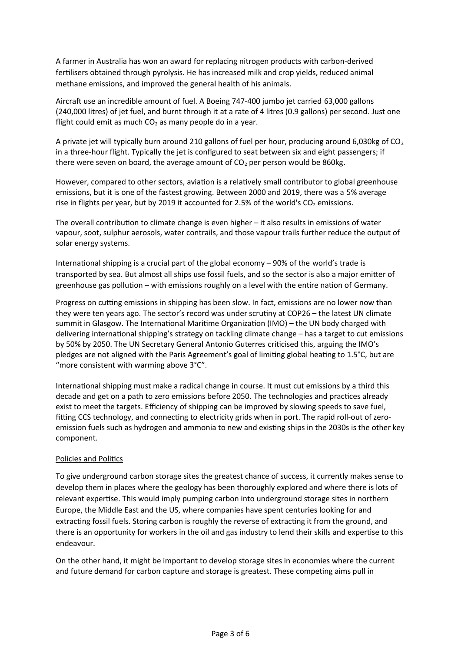A farmer in Australia has won an award for replacing nitrogen products with carbon-derived fertilisers obtained through pyrolysis. He has increased milk and crop yields, reduced animal methane emissions, and improved the general health of his animals.

Aircraft use an incredible amount of fuel. A Boeing 747-400 jumbo jet carried 63,000 gallons (240,000 litres) of jet fuel, and burnt through it at a rate of 4 litres (0.9 gallons) per second. Just one flight could emit as much  $CO<sub>2</sub>$  as many people do in a year.

A private jet will typically burn around 210 gallons of fuel per hour, producing around 6,030kg of  $CO<sub>2</sub>$ in a three-hour flight. Typically the jet is configured to seat between six and eight passengers; if there were seven on board, the average amount of  $CO<sub>2</sub>$  per person would be 860kg.

However, compared to other sectors, aviation is a relatively small contributor to global greenhouse emissions, but it is one of the fastest growing. Between 2000 and 2019, there was a 5% average rise in flights per year, but by 2019 it accounted for 2.5% of the world's  $CO<sub>2</sub>$  emissions.

The overall contribution to climate change is even higher – it also results in emissions of water vapour, soot, sulphur aerosols, water contrails, and those vapour trails further reduce the output of solar energy systems.

International shipping is a crucial part of the global economy – 90% of the [world's trade](https://www.oecd.org/ocean/topics/ocean-shipping/) is transported by sea. But almost all ships use fossil fuels, and so the sector is also a major emitter of greenhouse gas pollution – with emissions roughly on a level with the entire nation of [Germany](https://rdcu.be/b4QUS).

Progress on cutting emissions in shipping has been slow. In fact, emissions are no lower now than they were ten years ago. The sector's record was under scrutiny at COP26 – the latest UN climate summit in Glasgow. The International Maritime Organization (IMO) – the UN body charged with delivering international shipping's strategy on tackling climate change – has a target to cut emissions by 50% by 2050. The UN Secretary General Antonio Guterres [criticised](https://www.maritime-executive.com/article/let-s-be-honest-un-secretary-general-slams-imo-s-progress-on-co2) this, arguing the IMO's pledges are not aligned with the Paris Agreement's goal of limiting global heating to 1.5°C, but are "more consistent with warming above 3°C".

International shipping must make a radical change in course. It must cut emissions by a third this decade and get on a path to zero emissions before 2050. The [technologies and practices already](https://theconversation.com/ten-ways-to-cut-shippings-contribution-to-climate-change-from-a-researcher-167997)  [exist](https://theconversation.com/ten-ways-to-cut-shippings-contribution-to-climate-change-from-a-researcher-167997) to meet the targets. E[fficiency of shipping](https://rdcu.be/b4QUS) can be improved by slowing speeds to save fuel, fitting CCS technology, and connecting to electricity grids when in port. The rapid roll-out of zeroemission fuels such as hydrogen and ammonia to new and existing ships in the 2030s is the other key component.

# Policies and Politics

To give underground carbon storage sites the greatest chance of success, it currently makes sense to develop them in places where the geology has been thoroughly explored and where there is lots of relevant expertise. This would imply pumping carbon into underground storage sites in northern Europe, the Middle East and the US, where companies have spent centuries looking for and extracting fossil fuels. Storing carbon is roughly the reverse of extracting it from the ground, and there is an opportunity for workers in the oil and gas industry to lend their skills and expertise to this endeavour.

On the other hand, it might be important to develop storage sites in economies where the current and future demand for carbon capture and storage is greatest. These competing aims pull in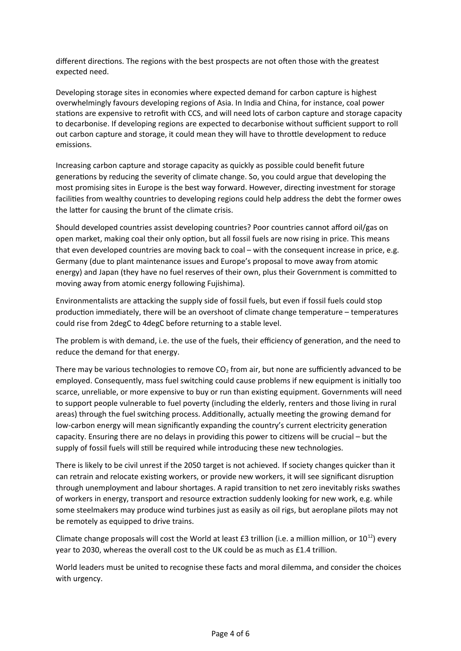different directions. The regions with the best prospects are not often those with the greatest expected need.

Developing storage sites in economies where expected demand for carbon capture is highest overwhelmingly favours developing regions of Asia. In India and China, for instance, coal power stations are expensive to retrofit with CCS, and will need lots of carbon capture and storage capacity to [decarbonise.](https://doi.org/10.1038/s41558-021-01175-7) If developing regions are expected to decarbonise without sufficient support to roll out carbon capture and storage, it could mean they will have to throttle development to reduce emissions.

Increasing carbon capture and storage capacity as quickly as possible could benefit future generations by reducing the severity of climate change. So, you could argue that developing the most promising sites in Europe is the best way forward. However, directing investment for storage facilities from wealthy countries to developing regions could help address the [debt the former owes](https://doi.org/10.1016/j.oneear.2020.07.015)  [the latter](https://doi.org/10.1016/j.oneear.2020.07.015) for causing the brunt of the climate crisis.

Should developed countries assist developing countries? Poor countries cannot afford oil/gas on open market, making coal their only option, but all fossil fuels are now rising in price. This means that even developed countries are moving back to coal – with the consequent increase in price, e.g. Germany (due to plant maintenance issues and Europe's proposal to move away from atomic energy) and Japan (they have no fuel reserves of their own, plus their Government is committed to moving away from atomic energy following Fujishima).

Environmentalists are attacking the supply side of fossil fuels, but even if fossil fuels could stop production immediately, there will be an overshoot of climate change temperature – temperatures could rise from 2degC to 4degC before returning to a stable level.

The problem is with demand, i.e. the use of the fuels, their efficiency of generation, and the need to reduce the demand for that energy.

There may be various technologies to remove  $CO<sub>2</sub>$  from air, but none are sufficiently advanced to be employed. Consequently, mass [fuel switching](https://assets.publishing.service.gov.uk/government/uploads/system/uploads/attachment_data/file/824592/industrial-fuel-switching.pdf) could cause problems if new equipment is initially too scarce, unreliable, or more expensive to buy or run than existing equipment. Governments will need to support people vulnerable to [fuel poverty](https://theconversation.com/as-thousands-die-the-uk-must-face-up-to-its-responsibilities-on-fuel-poverty-47952) (including the elderly, renters and those living in rural areas) through the fuel switching process. Additionally, actually meeting the growing [demand](https://www.sciencedirect.com/science/article/pii/S1364032115001471) for low-carbon energy will mean significantly expanding the country's current electricity generation capacity. Ensuring there are no delays in providing this power to citizens will be crucial – but the supply of fossil fuels will still be required while introducing these new technologies.

There is likely to be civil unrest if the 2050 target is not achieved. If society changes quicker than it can retrain and relocate existing workers, or provide new workers, it will see significant disruption through unemployment and labour shortages. A rapid transition to net zero inevitably risks swathes of workers in energy, transport and resource extraction suddenly looking for new work, e.g. while some steelmakers may produce wind turbines just as easily as oil rigs, but aeroplane pilots may not be remotely as equipped to drive trains.

Climate change proposals will cost the World at least £3 trillion (i.e. a million million, or  $10^{12}$ ) every year to 2030, whereas the overall cost to the UK could be as much as £1.4 trillion.

World leaders must be united to recognise these facts and moral dilemma, and consider the choices with urgency.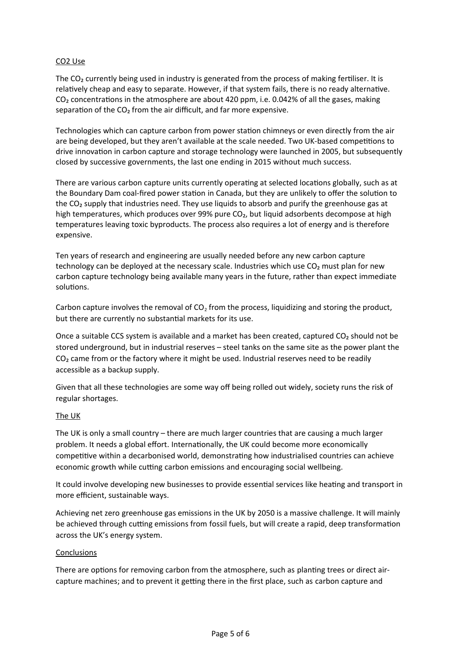### CO2 Use

The  $CO<sub>2</sub>$  currently being used in industry is generated from the process of making fertiliser. It is relatively cheap and easy to separate. However, if that system fails, there is no ready alternative. CO<sub>2</sub> concentrations in the atmosphere are about 420 ppm, i.e. 0.042% of all the gases, making separation of the CO<sub>2</sub> from the air difficult, and far more expensive.

Technologies which can capture carbon from power station chimneys or even directly from the air are being developed, but they aren't available at the scale needed. Two UK-based competitions to drive innovation in carbon capture and storage technology were launched in 2005, but subsequently closed by successive governments, the last one ending in 2015 without much success.

There are various carbon capture units currently operating at selected locations globally, such as at the [Boundary Dam coal-fired power station](https://www.saskpower.com/Our-Power-Future/Infrastructure-Projects/Carbon-Capture-and-Storage/Boundary-Dam-Carbon-Capture-Project) in Canada, but they are unlikely to offer the solution to the CO<sub>2</sub> supply that industries need. They use liquids to absorb and purify the greenhouse gas at high temperatures, which produces over 99% pure  $CO<sub>2</sub>$ , but [liquid adsorbents](https://www.frontiersin.org/articles/10.3389/fmats.2019.00042/full) decompose at high temperatures leaving toxic byproducts. The process also requires a lot of energy and is therefore expensive.

Ten years of research and engineering are usually needed before any new carbon capture technology can be deployed at the necessary scale. Industries which use  $CO<sub>2</sub>$  must plan for new carbon capture technology being available many years in the future, rather than expect immediate solutions.

Carbon capture involves the removal of  $CO<sub>2</sub>$  from the process, liquidizing and storing the product, but there are currently no substantial markets for its use.

Once a suitable CCS system is available and a market has been created, captured  $CO<sub>2</sub>$  should not be stored underground, but in industrial reserves – steel tanks on the same site as the power plant the  $CO<sub>2</sub>$  came from or the factory where it might be used. Industrial reserves need to be readily accessible as a backup supply.

Given that all these technologies are some way off being rolled out widely, society runs the risk of regular shortages.

### The UK

The UK is only a small country – there are much larger countries that are causing a much larger problem. It needs a global effort. Internationally, the UK could become more economically competitive within a decarbonised world, demonstrating how industrialised countries can achieve economic growth while cutting [carbon emissions](https://www.ons.gov.uk/economy/nationalaccounts/uksectoraccounts/compendium/economicreview/october2019/thedecouplingofeconomicgrowthfromcarbonemissionsukevidence) and encouraging social [wellbeing](https://theconversation.com/our-sense-of-wellbeing-has-been-in-decline-for-years-heres-how-to-turn-it-around-169988).

It could involve developing new businesses to provide essential services like heating and transport in more efficient, sustainable ways.

Achieving [net zero](https://www.gov.uk/government/publications/net-zero-strategy) greenhouse gas emissions in the UK by 2050 is a massive challenge. It will mainly be achieved through cutting emissions from [fossil fuels](https://ourworldindata.org/fossil-fuels), but will create a rapid, deep transformation across the UK's energy system.

### **Conclusions**

There are options for removing carbon from the atmosphere, such as [planting trees](https://theconversation.com/climate-crisis-how-to-make-space-for-2-billion-trees-on-a-crowded-island-like-the-uk-128098) or [direct air](https://theconversation.com/co-shortage-why-cant-we-just-pull-carbon-dioxide-out-of-the-air-99255)[capture machines;](https://theconversation.com/co-shortage-why-cant-we-just-pull-carbon-dioxide-out-of-the-air-99255) and to prevent it getting there in the first place, such as [carbon capture and](https://theconversation.com/explainer-what-is-carbon-capture-and-storage-16052)